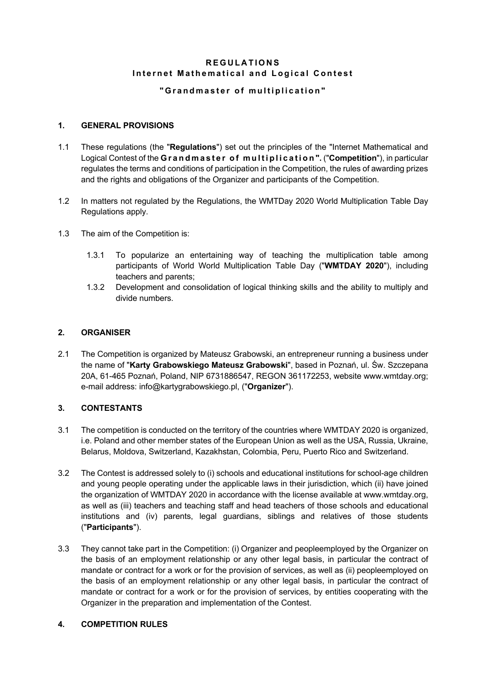# **REGULATIONS Internet Mathematical and Logical Contest**

# **" Grandmaster of multiplication"**

## **1. GENERAL PROVISIONS**

- 1.1 These regulations (the "**Regulations**") set out the principles of the "Internet Mathematical and Logical Contest of the **Grandmaster of multiplication ".** ("**Competition**"), in particular regulates the terms and conditions of participation in the Competition, the rules of awarding prizes and the rights and obligations of the Organizer and participants of the Competition.
- 1.2 In matters not regulated by the Regulations, the WMTDay 2020 World Multiplication Table Day Regulations apply.
- 1.3 The aim of the Competition is:
	- 1.3.1 To popularize an entertaining way of teaching the multiplication table among participants of World World Multiplication Table Day ("**WMTDAY 2020**"), including teachers and parents;
	- 1.3.2 Development and consolidation of logical thinking skills and the ability to multiply and divide numbers.

### **2. ORGANISER**

2.1 The Competition is organized by Mateusz Grabowski, an entrepreneur running a business under the name of "**Karty Grabowskiego Mateusz Grabowski**", based in Poznań, ul. Św. Szczepana 20A, 61-465 Poznań, Poland, NIP 6731886547, REGON 361172253, website www.wmtday.org; e-mail address: info@kartygrabowskiego.pl, ("**Organizer**").

## **3. CONTESTANTS**

- 3.1 The competition is conducted on the territory of the countries where WMTDAY 2020 is organized, i.e. Poland and other member states of the European Union as well as the USA, Russia, Ukraine, Belarus, Moldova, Switzerland, Kazakhstan, Colombia, Peru, Puerto Rico and Switzerland.
- 3.2 The Contest is addressed solely to (i) schools and educational institutions for school-age children and young people operating under the applicable laws in their jurisdiction, which (ii) have joined the organization of WMTDAY 2020 in accordance with the license available at www.wmtday.org, as well as (iii) teachers and teaching staff and head teachers of those schools and educational institutions and (iv) parents, legal guardians, siblings and relatives of those students ("**Participants**").
- 3.3 They cannot take part in the Competition: (i) Organizer and peopleemployed by the Organizer on the basis of an employment relationship or any other legal basis, in particular the contract of mandate or contract for a work or for the provision of services, as well as (ii) peopleemployed on the basis of an employment relationship or any other legal basis, in particular the contract of mandate or contract for a work or for the provision of services, by entities cooperating with the Organizer in the preparation and implementation of the Contest.

#### **4. COMPETITION RULES**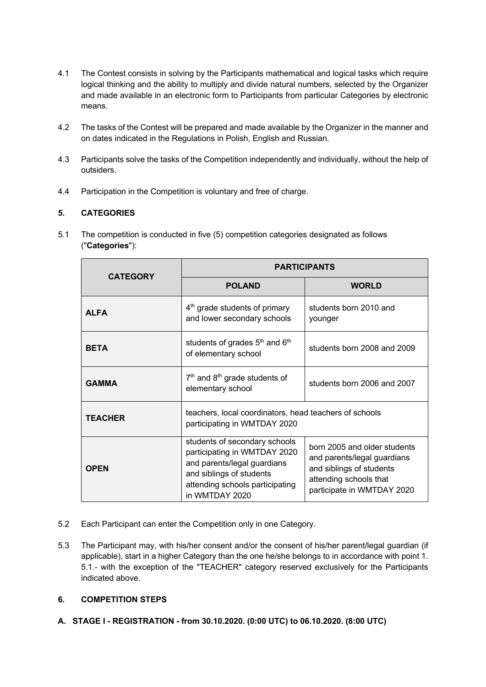- 4.1 The Contest consists in solving by the Participants mathematical and logical tasks which require logical thinking and the ability to multiply and divide natural numbers, selected by the Organizer and made available in an electronic form to Participants from particular Categories by electronic means.
- 4.2 The tasks of the Contest will be prepared and made available by the Organizer in the manner and on dates indicated in the Regulations in Polish, English and Russian.
- 4.3 Participants solve the tasks of the Competition independently and individually, without the help of outsiders.
- 4.4 Participation in the Competition is voluntary and free of charge.

## **5. CATEGORIES**

5.1 The competition is conducted in five (5) competition categories designated as follows ("**Categories**"):

| <b>CATEGORY</b> | <b>PARTICIPANTS</b>                                                                                                                                                           |                                                                                                                                                 |  |
|-----------------|-------------------------------------------------------------------------------------------------------------------------------------------------------------------------------|-------------------------------------------------------------------------------------------------------------------------------------------------|--|
|                 | <b>POLAND</b>                                                                                                                                                                 | <b>WORLD</b>                                                                                                                                    |  |
| <b>ALFA</b>     | $4th$ grade students of primary<br>and lower secondary schools                                                                                                                | students born 2010 and<br>younger                                                                                                               |  |
| <b>BETA</b>     | students of grades 5 <sup>th</sup> and 6 <sup>th</sup><br>of elementary school                                                                                                | students born 2008 and 2009                                                                                                                     |  |
| <b>GAMMA</b>    | $7th$ and $8th$ grade students of<br>elementary school                                                                                                                        | students born 2006 and 2007                                                                                                                     |  |
| <b>TEACHER</b>  | teachers, local coordinators, head teachers of schools<br>participating in WMTDAY 2020                                                                                        |                                                                                                                                                 |  |
| <b>OPEN</b>     | students of secondary schools<br>participating in WMTDAY 2020<br>and parents/legal guardians<br>and siblings of students<br>attending schools participating<br>in WMTDAY 2020 | born 2005 and older students<br>and parents/legal guardians<br>and siblings of students<br>attending schools that<br>participate in WMTDAY 2020 |  |

- 5.2 Each Participant can enter the Competition only in one Category.
- 5.3 The Participant may, with his/her consent and/or the consent of his/her parent/legal guardian (if applicable), start in a higher Category than the one he/she belongs to in accordance with point 1. 5.1.- with the exception of the "TEACHER" category reserved exclusively for the Participants indicated above.

## **6. COMPETITION STEPS**

**A. STAGE I - REGISTRATION - from 30.10.2020. (0:00 UTC) to 06.10.2020. (8:00 UTC)**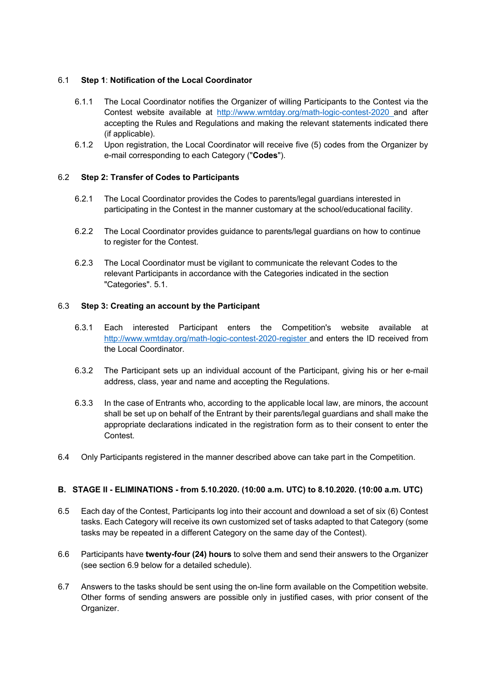### 6.1 **Step 1**: **Notification of the Local Coordinator**

- 6.1.1 The Local Coordinator notifies the Organizer of willing Participants to the Contest via the Contest website available at http://www.wmtday.org/math-logic-contest-2020 and after accepting the Rules and Regulations and making the relevant statements indicated there (if applicable).
- 6.1.2 Upon registration, the Local Coordinator will receive five (5) codes from the Organizer by e-mail corresponding to each Category ("**Codes**").

### 6.2 **Step 2: Transfer of Codes to Participants**

- 6.2.1 The Local Coordinator provides the Codes to parents/legal guardians interested in participating in the Contest in the manner customary at the school/educational facility.
- 6.2.2 The Local Coordinator provides guidance to parents/legal guardians on how to continue to register for the Contest.
- 6.2.3 The Local Coordinator must be vigilant to communicate the relevant Codes to the relevant Participants in accordance with the Categories indicated in the section "Categories". 5.1.

### 6.3 **Step 3: Creating an account by the Participant**

- 6.3.1 Each interested Participant enters the Competition's website available at http://www.wmtday.org/math-logic-contest-2020-register and enters the ID received from the Local Coordinator.
- 6.3.2 The Participant sets up an individual account of the Participant, giving his or her e-mail address, class, year and name and accepting the Regulations.
- 6.3.3 In the case of Entrants who, according to the applicable local law, are minors, the account shall be set up on behalf of the Entrant by their parents/legal guardians and shall make the appropriate declarations indicated in the registration form as to their consent to enter the **Contest**
- 6.4 Only Participants registered in the manner described above can take part in the Competition.

## **B. STAGE II - ELIMINATIONS - from 5.10.2020. (10:00 a.m. UTC) to 8.10.2020. (10:00 a.m. UTC)**

- 6.5 Each day of the Contest, Participants log into their account and download a set of six (6) Contest tasks. Each Category will receive its own customized set of tasks adapted to that Category (some tasks may be repeated in a different Category on the same day of the Contest).
- 6.6 Participants have **twenty-four (24) hours** to solve them and send their answers to the Organizer (see section 6.9 below for a detailed schedule).
- 6.7 Answers to the tasks should be sent using the on-line form available on the Competition website. Other forms of sending answers are possible only in justified cases, with prior consent of the Organizer.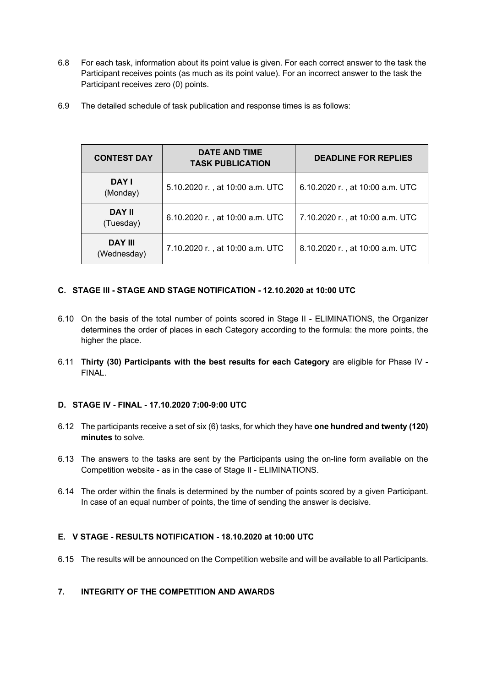- 6.8 For each task, information about its point value is given. For each correct answer to the task the Participant receives points (as much as its point value). For an incorrect answer to the task the Participant receives zero (0) points.
- 6.9 The detailed schedule of task publication and response times is as follows:

| <b>CONTEST DAY</b>            | <b>DATE AND TIME</b><br><b>TASK PUBLICATION</b> | <b>DEADLINE FOR REPLIES</b>     |  |
|-------------------------------|-------------------------------------------------|---------------------------------|--|
| DAY I<br>(Monday)             | 5.10.2020 r., at 10:00 a.m. UTC                 | 6.10.2020 r., at 10:00 a.m. UTC |  |
| <b>DAY II</b><br>(Tuesday)    | 6.10.2020 r., at 10:00 a.m. UTC                 | 7.10.2020 r., at 10:00 a.m. UTC |  |
| <b>DAY III</b><br>(Wednesday) | 7.10.2020 r., at 10:00 a.m. UTC                 | 8.10.2020 r., at 10:00 a.m. UTC |  |

## **C. STAGE III - STAGE AND STAGE NOTIFICATION - 12.10.2020 at 10:00 UTC**

- 6.10 On the basis of the total number of points scored in Stage II ELIMINATIONS, the Organizer determines the order of places in each Category according to the formula: the more points, the higher the place.
- 6.11 **Thirty (30) Participants with the best results for each Category** are eligible for Phase IV **FINAL**

#### **D. STAGE IV - FINAL - 17.10.2020 7:00-9:00 UTC**

- 6.12 The participants receive a set of six (6) tasks, for which they have **one hundred and twenty (120) minutes** to solve.
- 6.13 The answers to the tasks are sent by the Participants using the on-line form available on the Competition website - as in the case of Stage II - ELIMINATIONS.
- 6.14 The order within the finals is determined by the number of points scored by a given Participant. In case of an equal number of points, the time of sending the answer is decisive.

#### **E. V STAGE - RESULTS NOTIFICATION - 18.10.2020 at 10:00 UTC**

6.15 The results will be announced on the Competition website and will be available to all Participants.

## **7. INTEGRITY OF THE COMPETITION AND AWARDS**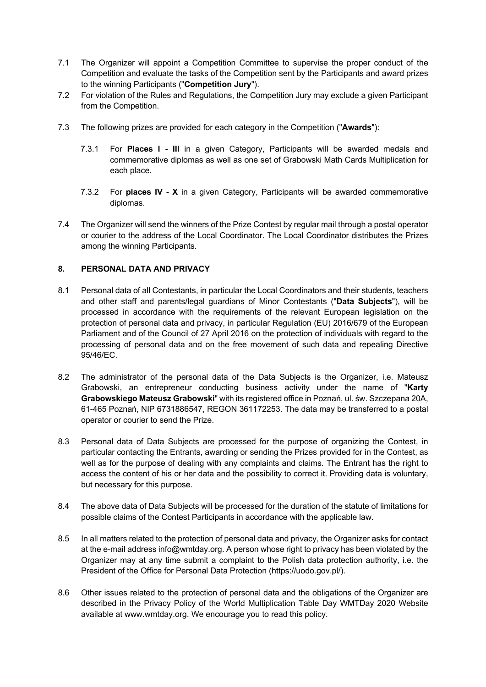- 7.1 The Organizer will appoint a Competition Committee to supervise the proper conduct of the Competition and evaluate the tasks of the Competition sent by the Participants and award prizes to the winning Participants ("**Competition Jury**").
- 7.2 For violation of the Rules and Regulations, the Competition Jury may exclude a given Participant from the Competition.
- 7.3 The following prizes are provided for each category in the Competition ("**Awards**"):
	- 7.3.1 For **Places I - III** in a given Category, Participants will be awarded medals and commemorative diplomas as well as one set of Grabowski Math Cards Multiplication for each place.
	- 7.3.2 For **places IV - X** in a given Category, Participants will be awarded commemorative diplomas.
- 7.4 The Organizer will send the winners of the Prize Contest by regular mail through a postal operator or courier to the address of the Local Coordinator. The Local Coordinator distributes the Prizes among the winning Participants.

### **8. PERSONAL DATA AND PRIVACY**

- 8.1 Personal data of all Contestants, in particular the Local Coordinators and their students, teachers and other staff and parents/legal guardians of Minor Contestants ("**Data Subjects**"), will be processed in accordance with the requirements of the relevant European legislation on the protection of personal data and privacy, in particular Regulation (EU) 2016/679 of the European Parliament and of the Council of 27 April 2016 on the protection of individuals with regard to the processing of personal data and on the free movement of such data and repealing Directive 95/46/EC.
- 8.2 The administrator of the personal data of the Data Subjects is the Organizer, i.e. Mateusz Grabowski, an entrepreneur conducting business activity under the name of "**Karty Grabowskiego Mateusz Grabowski**" with its registered office in Poznań, ul. św. Szczepana 20A, 61-465 Poznań, NIP 6731886547, REGON 361172253. The data may be transferred to a postal operator or courier to send the Prize.
- 8.3 Personal data of Data Subjects are processed for the purpose of organizing the Contest, in particular contacting the Entrants, awarding or sending the Prizes provided for in the Contest, as well as for the purpose of dealing with any complaints and claims. The Entrant has the right to access the content of his or her data and the possibility to correct it. Providing data is voluntary, but necessary for this purpose.
- 8.4 The above data of Data Subjects will be processed for the duration of the statute of limitations for possible claims of the Contest Participants in accordance with the applicable law.
- 8.5 In all matters related to the protection of personal data and privacy, the Organizer asks for contact at the e-mail address info@wmtday.org. A person whose right to privacy has been violated by the Organizer may at any time submit a complaint to the Polish data protection authority, i.e. the President of the Office for Personal Data Protection (https://uodo.gov.pl/).
- 8.6 Other issues related to the protection of personal data and the obligations of the Organizer are described in the Privacy Policy of the World Multiplication Table Day WMTDay 2020 Website available at www.wmtday.org. We encourage you to read this policy.